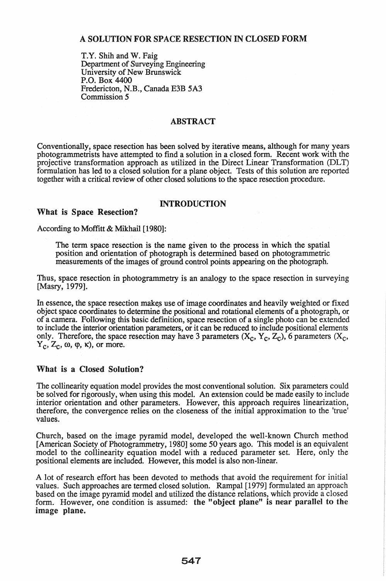## A SOLUTION FOR SPACE RESECTION IN CLOSED FORM

T.Y. Shih and W. Faig Department of Surveying Engineering University of New Brunswick P.O. Box 4400 Fredericton, N.B., Canada E3B *5A3*  Commission 5

#### ABSTRACT

Conventionally, space resection has been solved by iterative means, although for many years photogrammetrists have attempted to find a solution in a closed form. Recent work with the projective transformation approach as utilized in the Direct Linear Transformation (DLT) formulation has led to a closed solution for a plane object. Tests of this solution are reported together with a critical review of other closed solutions to the space resection procedure.

## INTRODUCTION

According to Moffitt & Mikhail [1980]:

What is Space Resection?

The term space resection is the name given to the process in which the spatial position and orientation of photograph is determined based on photogrammetric measurements of the images of ground control points appearing on the photograph.

Thus, space resection in photogrammetry is an analogy to the space resection in surveying [Masry, 1979].

In essence, the space resection makes use of image coordinates and heavily weighted or fixed object space coordinates to determine the positional and rotational elements of a photograph, or of a camera. Following this basic definition, space resection of a single photo can be extended to include the interior orientation parameters, or it can be reduced to include positional elements only. Therefore, the space resection may have 3 parameters  $(X_c, Y_c, Z_c)$ , 6 parameters  $(X_c,$  $Y_c$ ,  $Z_c$ ,  $\omega$ ,  $\varphi$ ,  $\kappa$ ), or more.

## What is a Closed Solution?

The collinearity equation model provides the most conventional solution. Six parameters could be solved for rigorously, when using this model. An extension could be made easily to include interior orientation and other parameters. However, this approach requires linearization, therefore, the convergence relies on the closeness of the initial approximation to the 'true' values.

Church, based on the image pyramid model, developed the well-known Church method [American Society of Photogrammetry, 1980] some 50 years ago. This model is an equivalent model to the collinearity equation model with a reduced parameter set. Here, only the positional elements are included. However, this model is also non-linear.

A lot of research effort has been devoted to methods that avoid the requirement for initial values. Such approaches are termed closed solution. Rampal [1979] formulated an approach based on the image pyramid model and utilized the distance relations, which provide a closed form. However, one condition is assumed: the "object plane" is near parallel to the image plane.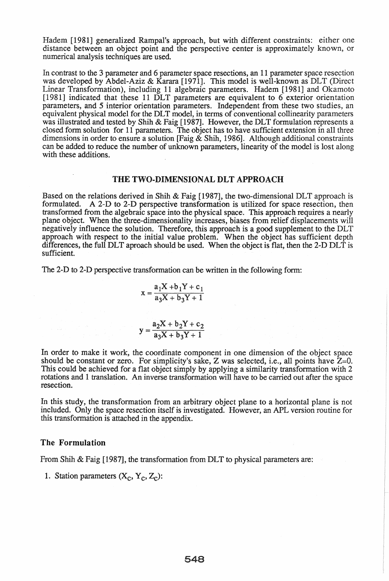Hadem [1981] generalized Rampal's approach, but with different constraints: either one distance between an object point and the perspective center is approximately known, or numerical analysis techniques are used.

In contrast to the 3 parameter and 6 parameter space resections, an 11 parameter space resection was developed by Abdel-Aziz & Karara [1971]. This model is well-known as DLT (Direct Linear Transformation), including 11 algebraic parameters. Hadem [1981] and Okamoto [1981] indicated that these 11 DLT parameters are equivalent to 6 exterior orientation parameters, and 5 interior orientation parameters. Independent from these two studies, an equivalent physical model for the DLT model, in terms of conventional collinearity parameters was illustrated and tested by Shih & Faig [1987]. However, the DLT formulation represents a closed form solution for 11 parameters. The object has to have sufficient extension in all three dimensions in order to ensure a solution [Faig  $\&$  Shih, 1986]. Although additional constraints can be added to reduce the number of unknown parameters, linearity of the model is lost along with these additions.

#### THE TWO-DIMENSIONAL DLT APPROACH

Based on the relations derived in Shih & Faig [1987], the two-dimensional DLT approach is formulated. A 2-D to 2-D perspective transformation is utilized for space resection, then transformed from the algebraic space into the physical space. This approach requires a nearly plane object. When the three-dimensionality increases, biases from relief displacements will negatively influence the solution. Therefore, this approach is a good supplement to the DLT approach with respect to the initial value problem. When the object has sufficient depth differences, the full DLT aproach should be used. When the object is flat, then the 2-D DLT is sufficient.

The 2-D to 2-D perspective transformation can be written in the following form:

$$
x = \frac{a_1 X + b_1 Y + c_1}{a_3 X + b_3 Y + 1}
$$

$$
y = \frac{a_2 X + b_2 Y + c_2}{a_3 X + b_3 Y + 1}
$$

In order to make it work, the coordinate component in one dimension of the object space should be constant or zero. For simplicity's sake, Z was selected, i.e., all points have  $\bar{Z}=0$ . This could be achieved for a flat object simply by applying a similarity transformation with 2 rotations and 1 translation. An inverse transformation will have to be carried out after the space resection.

In this study, the transformation from an arbitrary object plane to a horizontal plane is not included. Only the space resection itself is investigated. However, an APL version routine for this transformation is attached in the appendix.

#### The Formulation

From Shih & Faig [1987], the transformation from DLT to physical parameters are:

1. Station parameters  $(X_c, Y_c, Z_c)$ :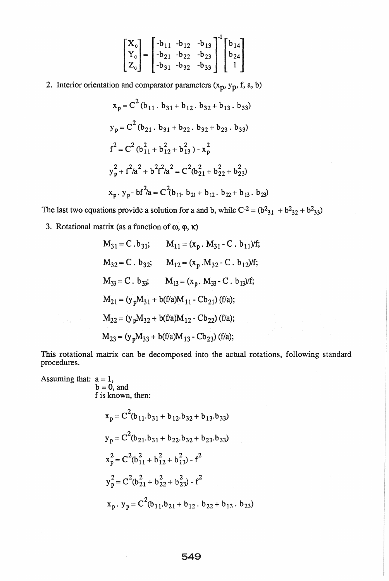$$
\begin{bmatrix} X_c \\ Y_c \\ Z_c \end{bmatrix} = \begin{bmatrix} -b_{11} & -b_{12} & -b_{13} \\ -b_{21} & -b_{22} & -b_{23} \\ -b_{31} & -b_{32} & -b_{33} \end{bmatrix}^{-1} \begin{bmatrix} b_{14} \\ b_{24} \\ 1 \end{bmatrix}
$$

2. Interior orientation and comparator parameters  $(x_p, y_p, f, a, b)$ 

$$
x_p = C^2 (b_{11} \cdot b_{31} + b_{12} \cdot b_{32} + b_{13} \cdot b_{33})
$$
  
\n
$$
y_p = C^2 (b_{21} \cdot b_{31} + b_{22} \cdot b_{32} + b_{23} \cdot b_{33})
$$
  
\n
$$
f^2 = C^2 (b_{11}^2 + b_{12}^2 + b_{13}^2) - x_p^2
$$
  
\n
$$
y_p^2 + f^2/a^2 + b^2 f^2/a^2 = C^2 (b_{21}^2 + b_{22}^2 + b_{23}^2)
$$
  
\n
$$
x_p \cdot y_p - bf^2/a = C^2 (b_{11} \cdot b_{21} + b_{12} \cdot b_{22} + b_{13} \cdot b_{23})
$$

The last two equations provide a solution for a and b, while  $C^{-2} = (b^2_{31} + b^2_{32} + b^2_{33})$ 

3. Rotational matrix (as a function of  $\omega$ ,  $\varphi$ ,  $\kappa$ )

$$
M_{31} = C \tcdot b_{31}; \t M_{11} = (x_p \tcdot M_{31} - C \tcdot b_{11})/f;
$$
  
\n
$$
M_{32} = C \tcdot b_{32}; \t M_{12} = (x_p \tcdot M_{32} - C \tcdot b_{12})/f;
$$
  
\n
$$
M_{33} = C \tcdot b_{33}; \t M_{13} = (x_p \tcdot M_{33} - C \tcdot b_{13})/f;
$$
  
\n
$$
M_{21} = (y_p M_{31} + b(f/a)M_{11} - Cb_{21}) (f/a);
$$
  
\n
$$
M_{22} = (y_p M_{32} + b(f/a)M_{12} - Cb_{22}) (f/a);
$$
  
\n
$$
M_{23} = (y_p M_{33} + b(f/a)M_{13} - Cb_{23}) (f/a);
$$

This rotational matrix can be decomposed into the actual rotations, following standard procedures.

Assuming that:  $a = 1$ ,  $b = 0$ , and f is known, then:  $x_p = C^2(b_{11}.b_{31} + b_{12}.b_{32} + b_{13}.b_{33})$  $y_p = C^2(b_{21}.b_{31} + b_{22}.b_{32} + b_{23}.b_{33})$  $x_p^2 = C^2(b_{11}^2 + b_{12}^2 + b_{13}^2) - f^2$  $y_p^2 = C^2(b_{21}^2 + b_{22}^2 + b_{23}^2) - f^2$  $x_p$ .  $y_p = C^2(b_{11}.b_{21} + b_{12}.b_{22} + b_{13}.b_{23})$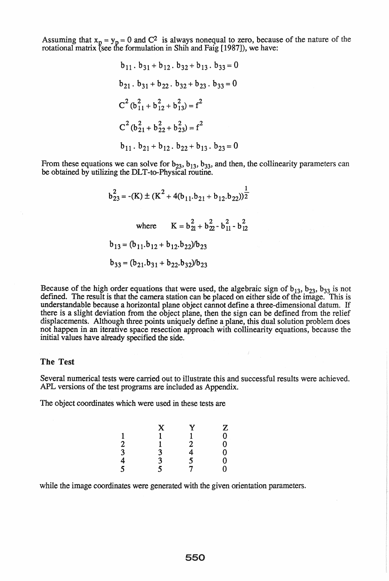Assuming that  $x_p = y_p = 0$  and  $C^2$  is always nonequal to zero, because of the nature of the rotational matrix (see the formulation in Shih and Faig [1987]), we have:

$$
b_{11} \cdot b_{31} + b_{12} \cdot b_{32} + b_{13} \cdot b_{33} = 0
$$
  
\n
$$
b_{21} \cdot b_{31} + b_{22} \cdot b_{32} + b_{23} \cdot b_{33} = 0
$$
  
\n
$$
C^{2} (b_{11}^{2} + b_{12}^{2} + b_{13}^{2}) = f^{2}
$$
  
\n
$$
C^{2} (b_{21}^{2} + b_{22}^{2} + b_{23}^{2}) = f^{2}
$$
  
\n
$$
b_{11} \cdot b_{21} + b_{12} \cdot b_{22} + b_{13} \cdot b_{23} = 0
$$

From these equations we can solve for  $b_{23}$ ,  $b_{13}$ ,  $b_{33}$ , and then, the collinearity parameters can be obtained by utilizing the DLT -to-Physical routine.

$$
b_{23}^2 = -(K) \pm (K^2 + 4(b_{11}.b_{21} + b_{12}.b_{22}))^{\frac{1}{2}}
$$
  
where  $K = b_{21}^2 + b_{22}^2 - b_{11}^2 - b_{12}^2$   
 $b_{13} = (b_{11}.b_{12} + b_{12}.b_{22})/b_{23}$   
 $b_{33} = (b_{21}.b_{31} + b_{22}.b_{32})/b_{23}$ 

Because of the high order equations that were used, the algebraic sign of  $b_{13}$ ,  $b_{23}$ ,  $b_{33}$  is not defined. The result is that the camera station can be placed on either side of the image. This is understandable because a horizontal plane object cannot define a three-dimensional datum. If there is a slight deviation from the object plane, then the sign can be defined from the relief displacements. Although three points uniquely define a plane, this dual solution problem does not happen in an iterative space resection approach with collinearity equations, because the initial values have already specified the side.

#### The Test

Several numerical tests were carried out to illustrate this and successful results were achieved. APL versions of the test programs are included as Appendix.

The object coordinates which were used in these tests are

|                                  | X                                          | Y<br>1 |                                                                  |
|----------------------------------|--------------------------------------------|--------|------------------------------------------------------------------|
|                                  |                                            |        | $\begin{bmatrix} 2 & 0 \\ 0 & 0 \\ 0 & 0 \\ 0 & 0 \end{bmatrix}$ |
|                                  |                                            |        |                                                                  |
|                                  |                                            |        |                                                                  |
| $\frac{2}{3}$<br>$\frac{3}{4}$ 5 | $\begin{array}{c} 3 \\ 3 \\ 5 \end{array}$ | 245    |                                                                  |
|                                  |                                            |        |                                                                  |

while the image coordinates were generated with the given orientation parameters.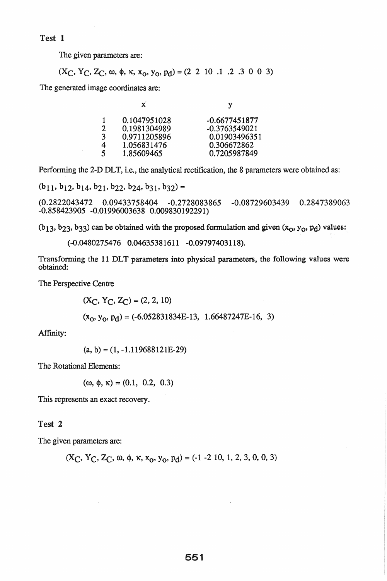Test 1

The given parameters are:

$$
(X_C, Y_C, Z_C, \omega, \phi, \kappa, x_0, y_0, p_d) = (2 \ 2 \ 10 \ 1 \ 2 \ 3 \ 0 \ 0 \ 3)
$$

The generated image coordinates are:

| $\mathbf{x}$ |              | v               |
|--------------|--------------|-----------------|
|              | 0.1047951028 | $-0.6677451877$ |
| 2            | 0.1981304989 | $-0.3763549021$ |
| 3            | 0.9711205896 | 0.01903496351   |
| 4            | 1.056831476  | 0.306672862     |
| 5            | 1.85609465   | 0.7205987849    |
|              |              |                 |

Performing the 2-D DLT, i.e., the analytical rectification, the 8 parameters were obtained as:

 $(b_{11}, b_{12}, b_{14}, b_{21}, b_{22}, b_{24}, b_{31}, b_{32}) =$ 

(0.2822043472 0.09433758404 -0.2728083865 -0.08729603439 0.2847389063 -0.858423905 -0.01996003638 0.009830192291)

 $(b_13, b_23, b_33)$  can be obtained with the proposed formulation and given  $(x_0, y_0, p_1)$  values:

```
(-0.0480275476 0.04635381611 -0.09797403118).
```
Transforming the 11 DLT parameters into physical parameters, the following values were obtained:

The Perspective Centre

 $(X_C, Y_C, Z_C) = (2, 2, 10)$  $(x_0, y_0, p_d) = (-6.052831834E-13, 1.66487247E-16, 3)$ 

Affinity:

 $(a, b) = (1, -1.119688121E-29)$ 

The Rotational Elements:

 $(\omega, \phi, \kappa) = (0.1, 0.2, 0.3)$ 

This represents an exact recovery.

## Test 2

The given parameters are:

$$
(X_C, Y_C, Z_C, \omega, \phi, \kappa, x_0, y_0, p_d) = (-1 - 2 10, 1, 2, 3, 0, 0, 3)
$$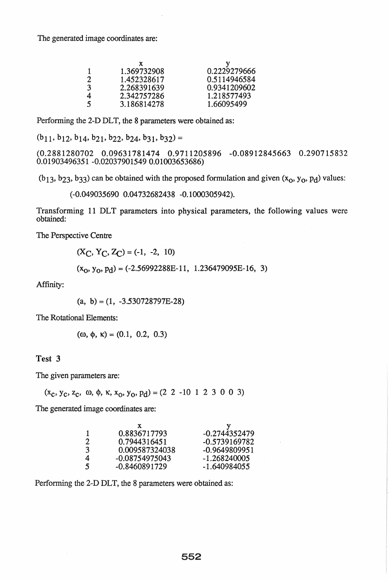The generated image coordinates are:

| 0.2229279666 |
|--------------|
| 0.5114946584 |
| 0.9341209602 |
| 1.218577493  |
| 1.66095499   |
|              |

Performing the 2-D DLT, the 8 parameters were obtained as:

 $(b_{11}, b_{12}, b_{14}, b_{21}, b_{22}, b_{24}, b_{31}, b_{32}) =$ 

(0.2881280702 0.09631781474 0.9711205896 -0.08912845663 0.290715832 0.01903496351 -0.020379015490.01003653686)

 $(b_13, b_23, b_33)$  can be obtained with the proposed formulation and given  $(x_0, y_0, p_d)$  values:

(-0.049035690 0.04732682438 -0.1000305942).

Transforming 11 DLT parameters into physical parameters, the following values were obtained:

The Perspective Centre

$$
(X_C, Y_C, Z_C) = (-1, -2, 10)
$$

 $(x_0, y_0, p_d) = (-2.56992288E-11, 1.236479095E-16, 3)$ 

Affinity:

 $(a, b) = (1, -3.530728797E-28)$ 

The Rotational Elements:

$$
(\omega, \phi, \kappa) = (0.1, 0.2, 0.3)
$$

#### Test 3

The given parameters are:

 $(x_c, y_c, z_c, \omega, \phi, \kappa, x_o, y_o, p_d) = (2 \ 2 \ -10 \ 1 \ 2 \ 3 \ 0 \ 0 \ 3)$ 

The generated image coordinates are:

| T | 0.8836717793   | $-0.2744352479$ |
|---|----------------|-----------------|
| 2 | 0.7944316451   | -0.5739169782   |
| 3 | 0.009587324038 | $-0.9649809951$ |
| 4 | -0.08754975043 | -1.268240005    |
| 5 | -0.8460891729  | $-1.640984055$  |

Performing the 2-D DLT, the 8 parameters were obtained as: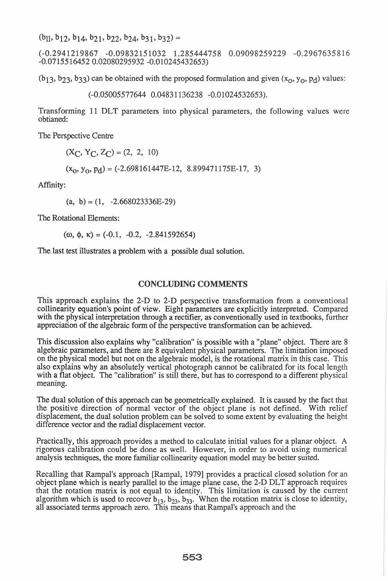$(b_{11}, b_{12}, b_{14}, b_{21}, b_{22}, b_{24}, b_{31}, b_{32}) =$ 

8 0.09098259229 -0.2967635816  $-0.07155164520.02080295932 -0.010245432653$ 

 $(b_13, b_23, b_33)$  can be obtained with the proposed formulation and given  $(x_0, y_0, p_1)$  values:

(-0.05005577644 0.04831136238 -0.01024532653).

Transforming 11 DLT parameters into physical parameters, the following values were obtianed:

The Perspective Centre

 $(X_C, Y_C, Z_C) = (2, 2, 10)$ 

 $(x_0, y_0, p_d) = (-2.698161447E-12, 8.899471175E-17, 3)$ 

Affinity:

 $(a, b) = (1, -2.668023336E-29)$ 

The Rotational Elements:

 $(\omega, \phi, \kappa) = (-0.1, -0.2, -2.841592654)$ 

The last test illustrates a problem with a possible dual solution.

## **CONCLUDING COMMENTS**

This approach explains the 2-D to 2-D perspective transformation from a conventional collinearity equation's point of view. Eight parameters are explicitly interpreted. Compared with the physical interpretation through a rectifier, as conventionally used in textbooks, further appreciation of the algebraic fonn of the perspective transfonnation can be achieved.

This discussion also explains why "calibration" is possible with a "plane" object. There are 8 algebraic parameters, and there are 8 equivalent physical parameters. The limitation imposed on the physical model but not on the algebraic model, is the rotational matrix in this case. This also explains why an absolutely vertical photograph cannot be calibrated for its focal length with a flat object. The "calibration" is still there, but has to correspond to a different physical meaning.

The dual solution of this approach can be geometrically explained. It is caused by the fact that the positive direction of normal vector of the object plane is not defined. With relief displacement, the dual solution problem can be solved to some extent by evaluating the height difference vector and the radial displacement vector.

Practically, this approach provides a method to calculate initial values for a planar object. A rigorous calibration could be done as well. However, in order to avoid using numerical analysis techniques, the more familiar collinearity equation model may be better suited.

Recalling that Rampal's approach [Rampal, 1979] provides a practical closed solution for an object plane which is nearly parallel to the image plane case, the 2-D DLT approach requires that the rotation matrix is not equal to identity. This limitation is caused by the current algorithm which is used to recover  $b_{13}$ ,  $b_{23}$ ,  $b_{33}$ . When the rotation matrix is close to identity, all associated terms approach zero.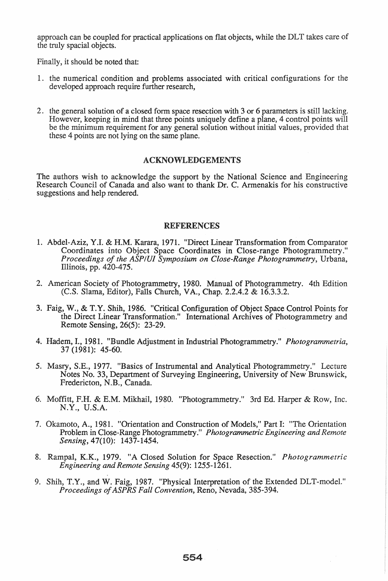approach can be coupled for practical applications on flat objects, while the DLT takes care of the truly spacial objects.

Finally, it should be noted that:

- 1. the numerical condition and problems associated with critical configurations for the developed approach require further research,
- 2. the general solution of a closed form space resection with 3 or 6 parameters is still lacking. However, keeping in mind that three points uniquely define a plane, 4 control points will be the minimum requirement for any general solution without initial values, provided that these 4 points are not lying on the same plane.

## ACKNOWLEDGEMENTS

The authors wish to acknowledge the support by the National Science and Engineering Research Council of Canada and also want to thank Dr. C. Armenakis for his constructive suggestions and help rendered.

#### REFERENCES

- 1. Abdel-Aziz, Y.I. & H.M. Karara, 1971. "Direct Linear Transformation from Comparator Coordinates into Object Space Coordinates in Close-range Photogrammetry." *Proceedings of the ASP/UI Symposium on Close-Range Photogrammetry,* Urbana, Illinois, pp. 420-475.
- 2. American Society of Photogrammetry, 1980. Manual of Photogrammetry. 4th Edition (C.S. Slama, Editor), Falls Church, VA., Chap. 2.2.4.2 & 16.3.3.2.
- 3. Faig, W., & T.Y. Shih, 1986. "Critical Configuration of Object Space Control Points for the Direct Linear Transformation." International Archives of Photogrammetry and Remote Sensing, 26(5): 23-29.
- 4. Hadem, I., 1981. "Bundle Adjustment in Industrial Photogrammetry." *Photogrammetria,*  37 (1981): 45-60.
- 5. Masry, S.E., 1977. "Basics of Instrumental and Analytical Photogrammetry." Lecture Notes No. 33, Department of Surveying Engineering, University of New Brunswick, Fredericton, N.B., Canada.
- 6. Moffitt, F.H. & E.M. Mikhail, 1980. "Photogrammetry." 3rd Ed. Harper & Row, Inc. N.Y., U.S.A.
- 7. Okamoto, A., 1981. "Orientation and Construction of Models," Part I: "The Orientation Problem in Close-Range Photogrammetry." *Photogrammetric Engineering and Remote Sensing,* 47(10): 1437-1454.
- 8. Rampal, *K.K.,* 1979. "A Closed Solution for Space Resection." *Photogrammetric Engineering and Remote Sensing* 45(9): 1255-1261.
- 9. Shih, T.Y., and W. Faig, 1987. "Physical Interpretation of the Extended DLT-model." *Proceedings of ASPRS Fall Convention,* Reno, Nevada, 385-394.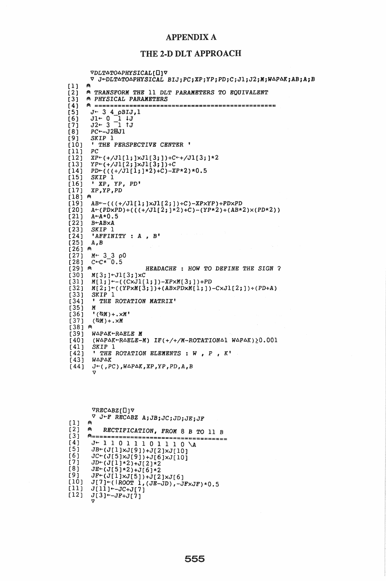### APPENDIX A

## THE 2-D DLT APPROACH

```
[1] 
[2][3] 
[4] 
[5] 
[6] 
[1] 
[8][9][10] 
[11][12] 
[13] 
[14] 
[15] 
[16] 
[17][18] A
[19] 
\overline{[}20\overline{]}[21] 
\overline{221}[23][24] 
\overline{[}25\overline{]}(26] ∩
[27][28][29] ค
[30] 
[31][32] 
(33] 
[34] 
[35] 
[36] 
\overline{[}37\overline{]}[38] ∩
\overline{[}39\overline{)}[40] 
[41][42] 
[43] 
[44] 
        VDLTATOAPHYSICAL[O]V
        \nabla J-DLTATOAPHYSICAL BIJ;PC;XP;YP;PD;C;Jl;J2;M;WAPAK;AB;A;B
      A 
      A TRANSFORM THE 11 DLT PARAMETERS TO EQUIVALENT 
       A PHYSICAL PARAMETERS 
       A =============================================== 
         J<sup>←</sup> 3 4 pBIJ,1<br>Jl← 0 1 \cup JJ2-3 \overline{1} tJ
        PC~-J2mJl 
        SKIP 1 
        * THE PERSPECTIVE CENTER *
        XP+(+/JI[1;] \times J1[3;])+C++/JI[3;] \times 2YP \left( +/ \text{Jl}[2;] \times \left[ 11j \right] \right) \left. + \text{C}PD~«(+/Jl[1;]*2)+C)-XP*2)*0.5 
        SKIP 1 
         • XP, YP, PD' 
         XP,YP,PD 
       AB \leftarrow ((\div/J1[1;]\times J1[2;]) \div C) - XP \times YP) + PD \times PDA+(PDXPD)+((((+/JI[2;j*2)+C)-(YP*2)+(AB*2)\times(PD*2))A~A*0.5 
        B~ABxA 
        SKIP 1 
         'AFFINITY :A, B'A,B M + 3300C~C*-0.5 
                             161 HEADACHE : HOW TO DEFINE THE SIGN ? 
        M[3; ]\text{-}J1[3; ]\text{-}CM[1;]-(-((CxJ1[1;])-XP\times M[3;])+PDM[2;]+((YP\times M[3;])+(AB\times PDXM[1;])-CXJ1[2;])+(PD+A)SKIP 1 
         , THE ROTATION MATRIX' 
        M 
         ^{\bullet} (\otimesM) + . \timesM^{\bullet}(\Diamond M) + . \times MW~P~K~R~ELE M (W^{\Delta}P^{\Delta}K+\text{R}\Delta ELE-M) IF(+/+/M-ROTATION\Deltal W\Delta P\Delta K) 20.001
         SKIP 1 , THE ROTATION ELEMENTS : W , P , K' 
         WAPAK 
         J^{\leftarrow}(, PC), W\triangle P\triangle K, XP, YP, PD, A, B
         V
```

```
[1 ] 
[2] 
[3][4] 
[5] 
[6][7] 
[8] 
[9] 
[10] 
[11] 
[12]VREGABZ[J]\nablaV J~F RECABZ AiJBiJCiJDiJEiJF \theta161 RECTIFICATION, FROM 8 B TO 11 B 
         0=====================================
          J \leftarrow 1 1 0 1 1 1 0 1 1 1 0 \ \text{A}\textit{\textbf{JB}\textbf{+}\textbf{(J[1]\textbf{x}J[9])}\textbf{+}J[2]\textbf{x}J[10]}JC~(J[5]xJ[9])+J[6]xJ[10] 
          JD-(J[1]*2)+J[2]*2JE~(J[5]*2)+J[6]*2 
           J_{\rm F} \sim J_{\rm D} J_{\rm H} J_{\rm H} J_{\rm H} J_{\rm H} J_{\rm H} J_{\rm H} J_{\rm H} J_{\rm H} J_{\rm H}J[7]-(\overline{ROOT} \overline{1},(\overline{JB}-\overline{JD}), -\overline{J}F\times JF) \times 0.5J[11] + -JC+J[7]J[3] + - JF+J[\overline{7}]۳ż
```